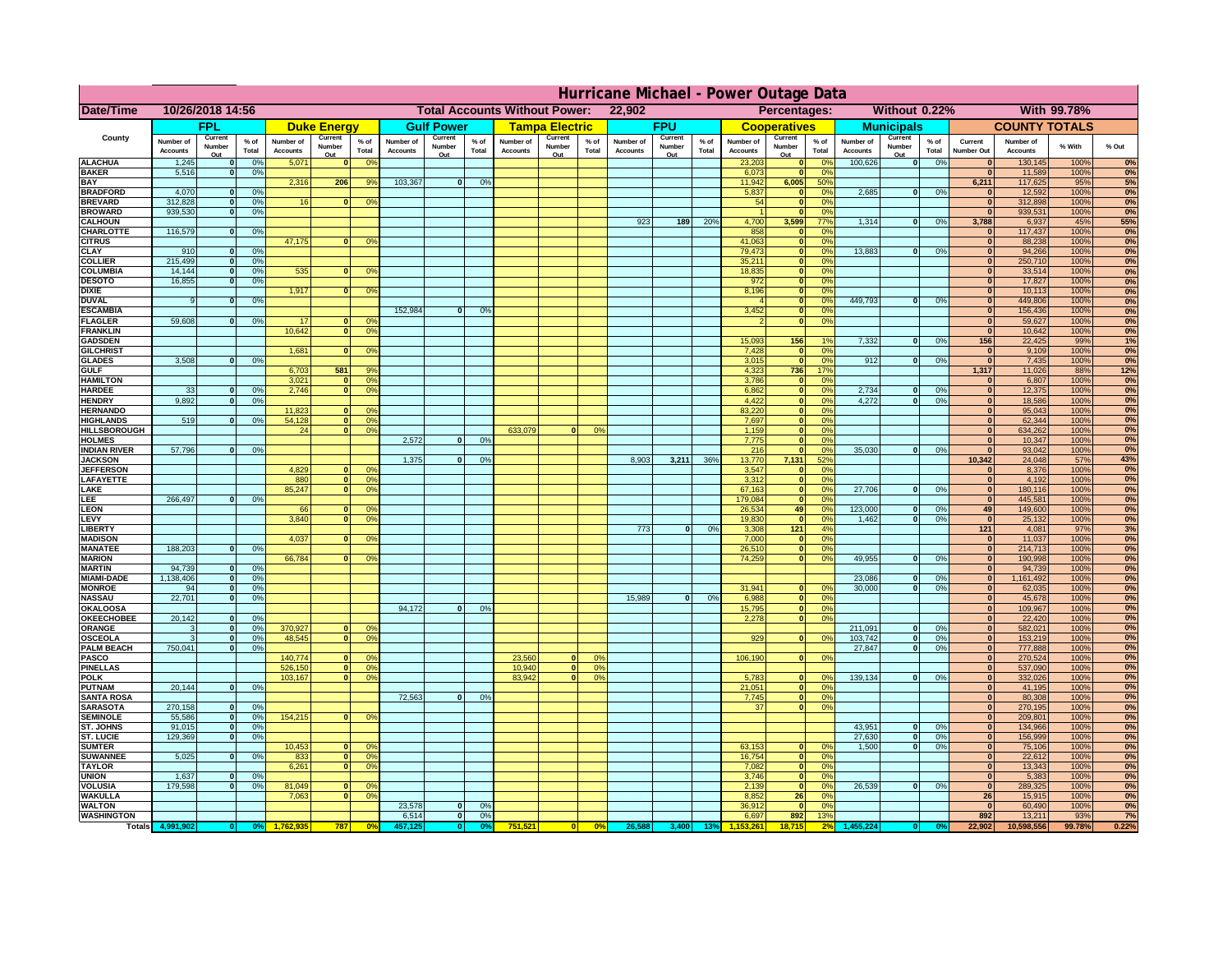|                                         | Hurricane Michael - Power Outage Data |                             |                 |                              |                       |                                                |                              |                    |                |                              |                       |                                                     |                              |                   |                 |                              |                     |                                  |                              |                         |                 |                                |                              |              |           |
|-----------------------------------------|---------------------------------------|-----------------------------|-----------------|------------------------------|-----------------------|------------------------------------------------|------------------------------|--------------------|----------------|------------------------------|-----------------------|-----------------------------------------------------|------------------------------|-------------------|-----------------|------------------------------|---------------------|----------------------------------|------------------------------|-------------------------|-----------------|--------------------------------|------------------------------|--------------|-----------|
| Date/Time                               | 10/26/2018 14:56                      |                             |                 |                              |                       | <b>Total Accounts Without Power:</b><br>22,902 |                              |                    |                |                              |                       | <b>Without 0.22%</b><br>With 99.78%<br>Percentages: |                              |                   |                 |                              |                     |                                  |                              |                         |                 |                                |                              |              |           |
|                                         |                                       | FPL                         |                 |                              | <b>Duke Energy</b>    |                                                |                              | <b>Gulf Power</b>  |                |                              | <b>Tampa Electric</b> |                                                     |                              | <b>FPU</b>        |                 |                              | <b>Cooperatives</b> |                                  |                              | <b>Municipals</b>       |                 |                                | <b>COUNTY TOTALS</b>         |              |           |
| County                                  | Number of<br><b>Accounts</b>          | Current<br>Number           | $%$ of<br>Total | Number of<br><b>Accounts</b> | Current<br>Number     | $%$ of<br>Total                                | Number of<br><b>Accounts</b> | Current<br>Number  | % of<br>Total  | Number of<br><b>Accounts</b> | Current<br>Number     | $%$ of<br>Total                                     | Number of<br><b>Accounts</b> | Current<br>Number | $%$ of<br>Total | Number of<br><b>Accounts</b> | Current<br>Number   | $%$ of<br>Total                  | Number of<br><b>Accounts</b> | Current<br>Number       | $%$ of<br>Total | Current<br><b>Number Out</b>   | Number of<br><b>Accounts</b> | % With       | % Out     |
| <b>ALACHUA</b>                          | 1,245                                 | Out<br>$\mathbf{0}$         | 0%              | 5,071                        | Out<br>$\bf{0}$       | 0 <sup>9</sup>                                 |                              | Out                |                |                              | Out                   |                                                     |                              | Out               |                 | 23,203                       | Out<br> 0           | 0 <sup>9</sup>                   | 100,626                      | Out<br> 0               | 0%              | $\bf{0}$                       | 130,145                      | 100%         | 0%        |
| <b>BAKER</b>                            | 5,516                                 | 0                           | 0%              |                              |                       |                                                |                              |                    |                |                              |                       |                                                     |                              |                   |                 | 6,073                        | 0                   | 0%                               |                              |                         |                 | $\mathbf{0}$                   | 11,589                       | 100%         | 0%        |
| <b>BAY</b><br><b>BRADFORD</b>           | 4,070                                 | $\mathbf{0}$                | 0%              | 2,316                        | 206                   | 9%                                             | 103,367                      | 0                  | 0%             |                              |                       |                                                     |                              |                   |                 | 11,942<br>5,837              | 6,005<br> 0         | 50%<br>0%                        | 2,685                        | 0                       | 0%              | 6,211<br>$\bf{0}$              | 117,625<br>12,592            | 95%<br>100%  | 5%<br>0%  |
| <b>BREVARD</b>                          | 312,828                               | 0                           | 0%              | 16                           | 0                     | 0 <sup>o</sup>                                 |                              |                    |                |                              |                       |                                                     |                              |                   |                 | 54                           | 0                   | 0%                               |                              |                         |                 | 0                              | 312,898                      | 100%         | 0%        |
| <b>BROWARD</b>                          | 939.530                               | 0                           | 0%              |                              |                       |                                                |                              |                    |                |                              |                       |                                                     |                              |                   |                 |                              | 0                   | 0%                               |                              |                         |                 | $\bf{0}$                       | 939,531                      | 100%         | 0%        |
| <b>CALHOUN</b>                          |                                       |                             |                 |                              |                       |                                                |                              |                    |                |                              |                       |                                                     | 923                          | 189               | 20%             | 4,700                        | 3,599               | 77%                              | 1,314                        | 0                       | 0%              | 3,788                          | 6,937                        | 45%          | 55%       |
| CHARLOTTE<br><b>CITRUS</b>              | 116,579                               | 0                           | 0%              | 47,175                       | $\mathbf{0}$          | 0 <sup>o</sup>                                 |                              |                    |                |                              |                       |                                                     |                              |                   |                 | 858<br>41,063                | 0 <br> 0            | 0 <sup>9</sup><br>0 <sup>9</sup> |                              |                         |                 | $\bf{0}$                       | 117,437<br>88,238            | 100%<br>100% | 0%<br>0%  |
| <b>CLAY</b>                             | 910                                   | $\mathbf{0}$                | 0%              |                              |                       |                                                |                              |                    |                |                              |                       |                                                     |                              |                   |                 | 79,473                       | 0                   | 0 <sup>9</sup>                   | 13,883                       | $\mathbf{0}$            | 0%              | $\bf{0}$                       | 94,266                       | 100%         | 0%        |
| <b>COLLIER</b>                          | 215,499                               | $\mathbf{0}$                | 0 <sup>9</sup>  |                              |                       |                                                |                              |                    |                |                              |                       |                                                     |                              |                   |                 | 35,211                       | 0                   | 0%                               |                              |                         |                 | $\bf{0}$                       | 250,710                      | 100%         | 0%        |
| <b>COLUMBIA</b><br><b>DESOTO</b>        | 14,144<br>16,855                      | $\mathbf 0$<br>$\mathbf{0}$ | 0%<br>0%        | 535                          | $\mathbf{0}$          | 0 <sup>9</sup>                                 |                              |                    |                |                              |                       |                                                     |                              |                   |                 | 18,835<br>972                | 0 <br> 0            | 0%<br>0%                         |                              |                         |                 | $\bf{0}$<br>$\bf{0}$           | 33,514<br>17,827             | 100%<br>100% | 0%<br>0%  |
| <b>DIXIE</b>                            |                                       |                             |                 | 1,917                        | $\Omega$              | 0 <sup>9</sup>                                 |                              |                    |                |                              |                       |                                                     |                              |                   |                 | 8,196                        | 0                   | 0%                               |                              |                         |                 | $\Omega$                       | 10,113                       | 100%         | 0%        |
| <b>DUVAL</b>                            | 9                                     | $\Omega$                    | 0%              |                              |                       |                                                |                              |                    |                |                              |                       |                                                     |                              |                   |                 |                              | 0                   | 0%                               | 449.793                      | $\overline{0}$          | 0%              | $\Omega$                       | 449,806                      | 100%         | 0%        |
| <b>ESCAMBIA</b>                         |                                       |                             |                 |                              |                       |                                                | 152,984                      | $\mathbf{0}$       | 0 <sup>9</sup> |                              |                       |                                                     |                              |                   |                 | 3,452                        | 0                   | 0%                               |                              |                         |                 | $\Omega$                       | 156,436                      | 100%         | 0%        |
| <b>FLAGLER</b><br><b>FRANKLIN</b>       | 59,608                                | $\overline{0}$              | 0%              | 17<br>10,642                 | $\bf{0}$<br> 0        | 0 <sup>o</sup><br>0 <sup>9</sup>               |                              |                    |                |                              |                       |                                                     |                              |                   |                 |                              | 0                   | 0%                               |                              |                         |                 | $\mathbf{0}$<br>$\overline{0}$ | 59,627<br>10,642             | 100%<br>100% | 0%<br>0%  |
| <b>GADSDEN</b>                          |                                       |                             |                 |                              |                       |                                                |                              |                    |                |                              |                       |                                                     |                              |                   |                 | 15,093                       | 156                 |                                  | 7,332                        | 0                       | 0%              | 156                            | 22,425                       | 99%          | 1%        |
| <b>GILCHRIST</b>                        |                                       |                             |                 | 1,681                        | $\Omega$              | 0 <sup>9</sup>                                 |                              |                    |                |                              |                       |                                                     |                              |                   |                 | 7,428                        | 0                   | 0%                               |                              |                         |                 | $\mathbf{0}$                   | 9,109                        | 100%         | 0%        |
| <b>GLADES</b>                           | 3,508                                 | 0                           | 0%              |                              |                       |                                                |                              |                    |                |                              |                       |                                                     |                              |                   |                 | 3,015                        | 0                   | 0%                               | 912                          | $\overline{0}$          | 0%              | 0                              | 7,435                        | 100%         | 0%        |
| <b>GULF</b><br><b>HAMILTON</b>          |                                       |                             |                 | 6,703<br>3,021               | 581<br>$\overline{0}$ | 9%<br>0 <sup>9</sup>                           |                              |                    |                |                              |                       |                                                     |                              |                   |                 | 4,323<br>3,786               | 736<br> 0           | 17%<br>0%                        |                              |                         |                 | 1,317<br> 0                    | 11,026<br>6,807              | 88%<br>100%  | 12%<br>0% |
| <b>HARDEE</b>                           | 33                                    | $\overline{0}$              | 0%              | 2.746                        | $\overline{0}$        | 0 <sup>9</sup>                                 |                              |                    |                |                              |                       |                                                     |                              |                   |                 | 6.862                        | $\overline{0}$      | 0%                               | 2.734                        | $\mathbf{0}$            | 0%              | 0                              | 12,375                       | 100%         | 0%        |
| <b>HENDRY</b>                           | 9,892                                 | $\Omega$                    | 0%              |                              |                       |                                                |                              |                    |                |                              |                       |                                                     |                              |                   |                 | 4,422                        | 0                   | 0%                               | 4,272                        | $\Omega$                | 0%              | 0                              | 18,586                       | 100%         | 0%        |
| <b>HERNANDO</b>                         |                                       |                             |                 | 11,823                       | $\mathbf{0}$          | 0 <sup>9</sup>                                 |                              |                    |                |                              |                       |                                                     |                              |                   |                 | 83,220                       | 0                   | 0%                               |                              |                         |                 | $\mathbf{0}$                   | 95,043                       | 100%         | 0%        |
| <b>HIGHLANDS</b><br><b>HILLSBOROUGH</b> | 519                                   | $\mathbf{0}$                | 0 <sup>9</sup>  | 54,128<br>24                 | 0 <br> 0              | 0 <sup>9</sup><br>0 <sup>9</sup>               |                              |                    |                | 633,079                      |                       | 0%                                                  |                              |                   |                 | 7,697<br>1,159               | 0 <br> 0            | 0%<br>0%                         |                              |                         |                 | $\mathbf{0}$<br>$\mathbf{0}$   | 62,344<br>634,262            | 100%<br>100% | 0%<br>0%  |
| <b>HOLMES</b>                           |                                       |                             |                 |                              |                       |                                                | 2.572                        | $\mathbf{0}$       | 0%             |                              |                       |                                                     |                              |                   |                 | 7,775                        | 0                   | 0%                               |                              |                         |                 | $\mathbf{0}$                   | 10,347                       | 100%         | 0%        |
| <b>INDIAN RIVER</b>                     | 57,796                                | $\mathbf{0}$                | 0%              |                              |                       |                                                |                              |                    |                |                              |                       |                                                     |                              |                   |                 | 216                          | 0                   | 0%                               | 35,030                       | $\mathbf{0}$            | 0%              | $\mathbf{0}$                   | 93,042                       | 100%         | 0%        |
| <b>JACKSON</b>                          |                                       |                             |                 |                              |                       |                                                | 1.375                        | $\mathbf{0}$       | 0 <sup>9</sup> |                              |                       |                                                     | 8.903                        | 3,211             | 36%             | 13,770                       | 7.131               | 52%                              |                              |                         |                 | 10.342                         | 24,048                       | 57%          | 43%       |
| <b>JEFFERSON</b><br>LAFAYETTE           |                                       |                             |                 | 4.829<br>880                 | n l<br> 0             | 0 <sup>9</sup><br>0 <sup>9</sup>               |                              |                    |                |                              |                       |                                                     |                              |                   |                 | 3.547<br>3.312               | 0 <br> 0            | 0%<br>0%                         |                              |                         |                 | $\mathbf{0}$<br> 0             | 8.376<br>4,192               | 100%<br>100% | 0%<br>0%  |
| LAKE                                    |                                       |                             |                 | 85,247                       | $\mathbf{0}$          | 0 <sup>9</sup>                                 |                              |                    |                |                              |                       |                                                     |                              |                   |                 | 67,163                       | 0                   | 0%                               | 27,706                       | $\Omega$                | 0%              | 0                              | 180,116                      | 100%         | 0%        |
| EE.                                     | 266,497                               | 0                           | 0%              |                              |                       |                                                |                              |                    |                |                              |                       |                                                     |                              |                   |                 | 179,084                      | 0                   | 0%                               |                              |                         |                 | 0                              | 445,581                      | 100%         | 0%        |
| LEON                                    |                                       |                             |                 | 66                           | $\mathbf{0}$          | 0 <sup>o</sup>                                 |                              |                    |                |                              |                       |                                                     |                              |                   |                 | 26,534                       | 49                  | 0%                               | 123,000                      | $\mathbf{0}$            | 0%              | 49                             | 149,600                      | 100%         | 0%        |
| LEVY<br><b>LIBERTY</b>                  |                                       |                             |                 | 3,840                        | $\Omega$              | 0 <sup>9</sup>                                 |                              |                    |                |                              |                       |                                                     | 773                          | $\Omega$          | 0%              | 19,830<br>3,308              | 0 <br>121           | 0%<br>4%                         | 1,462                        | -ol                     | 0%              | 0 <br>121                      | 25,132<br>4,081              | 100%<br>97%  | 0%<br>3%  |
| <b>MADISON</b>                          |                                       |                             |                 | 4,037                        | $\Omega$              | 0 <sup>9</sup>                                 |                              |                    |                |                              |                       |                                                     |                              |                   |                 | 7,000                        | 0                   | 0%                               |                              |                         |                 | 0                              | 11,037                       | 100%         | 0%        |
| <b>MANATEE</b>                          | 188,203                               | 0                           | 0%              |                              |                       |                                                |                              |                    |                |                              |                       |                                                     |                              |                   |                 | 26,510                       | 0                   | 0%                               |                              |                         |                 | 0                              | 214,713                      | 100%         | 0%        |
| <b>MARION</b>                           |                                       |                             |                 | 66,784                       | ΩI                    | 0 <sup>9</sup>                                 |                              |                    |                |                              |                       |                                                     |                              |                   |                 | 74,259                       | 0                   | 0%                               | 49,955                       | nl                      | 0%              | 0                              | 190,998                      | 100%         | 0%        |
| <b>MARTIN</b><br><b>MIAMI-DADE</b>      | 94,739<br>1,138,406                   | 0 <br> 0                    | 0%<br>0%        |                              |                       |                                                |                              |                    |                |                              |                       |                                                     |                              |                   |                 |                              |                     |                                  | 23,086                       | $\mathbf{0}$            | 0%              | 0 <br> 0                       | 94,739<br>1,161,492          | 100%<br>100% | 0%<br>0%  |
| <b>MONROE</b>                           | 94                                    | 0                           | 0%              |                              |                       |                                                |                              |                    |                |                              |                       |                                                     |                              |                   |                 | 31,941                       | $\overline{0}$      | 0 <sup>9</sup>                   | 30,000                       | 0                       | 0%              | 0                              | 62,035                       | 100%         | 0%        |
| <b>NASSAU</b>                           | 22,701                                | 0                           | 0%              |                              |                       |                                                |                              |                    |                |                              |                       |                                                     | 15,989                       | 0                 | 0%              | 6,988                        | 0                   | 0%                               |                              |                         |                 | 0                              | 45,678                       | 100%         | 0%        |
| <b>OKALOOSA</b>                         |                                       |                             |                 |                              |                       |                                                | 94,172                       | $\mathbf{0}$       | 0%             |                              |                       |                                                     |                              |                   |                 | 15,795                       | 0                   | 0%                               |                              |                         |                 | 0                              | 109,967                      | 100%         | 0%        |
| <b>OKEECHOBEE</b><br>ORANGE             | 20,142<br>3                           | 0 <br> 0                    | 0%<br>0%        | 370,927                      | 0                     | 0 <sup>o</sup>                                 |                              |                    |                |                              |                       |                                                     |                              |                   |                 | 2,278                        | 0                   | 0%                               | 211,091                      | $\overline{\mathbf{0}}$ | 0%              | 0 <br> 0                       | 22,420<br>582,021            | 100%<br>100% | 0%<br>0%  |
| <b>OSCEOLA</b>                          | 3                                     | 0                           | 0%              | 48,545                       | 0                     | 0 <sup>9</sup>                                 |                              |                    |                |                              |                       |                                                     |                              |                   |                 | 929                          | 0                   | 0%                               | 103,742                      | 0                       | 0%              | 0                              | 153,219                      | 100%         | 0%        |
| <b>PALM BEACH</b>                       | 750,041                               | 0                           | 0%              |                              |                       |                                                |                              |                    |                |                              |                       |                                                     |                              |                   |                 |                              |                     |                                  | 27,847                       | $\overline{\mathbf{0}}$ | 0%              | 0                              | 777,888                      | 100%         | 0%        |
| <b>PASCO</b>                            |                                       |                             |                 | 140,774                      | $\Omega$              | 0 <sup>9</sup>                                 |                              |                    |                | 23,560                       | $\Omega$              | $^{\circ}$                                          |                              |                   |                 | 106,190                      | 0                   | 0%                               |                              |                         |                 | 0                              | 270,524                      | 100%         | 0%        |
| <b>PINELLAS</b><br><b>POLK</b>          |                                       |                             |                 | 526,150<br>103,167           | 0 <br> 0              | 0 <sup>9</sup><br>0 <sup>9</sup>               |                              |                    |                | 10,940<br>83,942             | 0 <br>$\mathbf{a}$    | 0%<br>0%                                            |                              |                   |                 | 5,783                        | 0                   | $\Omega$                         | 139,134                      | 0                       | 0%              | $\Omega$<br> 0                 | 537,090<br>332,026           | 100%<br>100% | 0%<br>0%  |
| <b>PUTNAM</b>                           | 20,144                                | 0                           | 0%              |                              |                       |                                                |                              |                    |                |                              |                       |                                                     |                              |                   |                 | 21,051                       | $\ddot{\text{o}}$   | 0%                               |                              |                         |                 | $\bf{0}$                       | 41,195                       | 100%         | 0%        |
| <b>SANTA ROSA</b>                       |                                       |                             |                 |                              |                       |                                                | 72,563                       | 0                  | 0%             |                              |                       |                                                     |                              |                   |                 | 7,745                        | 0                   | 0%                               |                              |                         |                 | $\mathbf{0}$                   | 80,308                       | 100%         | 0%        |
| <b>SARASOTA</b>                         | 270,158<br>55,586                     | 0                           | 0%<br>0%        | 154,215                      | $\mathbf{0}$          | 0 <sup>9</sup>                                 |                              |                    |                |                              |                       |                                                     |                              |                   |                 | 37                           | 0                   | 0%                               |                              |                         |                 | 0 <br> 0                       | 270,195                      | 100%         | 0%<br>0%  |
| <b>SEMINOLE</b><br><b>ST. JOHNS</b>     | 91,015                                | 0 <br> 0                    | 0%              |                              |                       |                                                |                              |                    |                |                              |                       |                                                     |                              |                   |                 |                              |                     |                                  | 43,951                       | -ol                     | 0%              | 0                              | 209,801<br>134,966           | 100%<br>100% | 0%        |
| <b>ST. LUCIE</b>                        | 129.369                               | $\mathbf{0}$                | 0%              |                              |                       |                                                |                              |                    |                |                              |                       |                                                     |                              |                   |                 |                              |                     |                                  | 27.630                       | - O I                   | 0%              | 0                              | 156,999                      | 100%         | 0%        |
| <b>SUMTER</b>                           |                                       |                             |                 | 10,453                       | $\overline{0}$        | 0 <sup>9</sup>                                 |                              |                    |                |                              |                       |                                                     |                              |                   |                 | 63,153                       | 0                   | 0%                               | 1.500                        | 0                       | 0%              | 0                              | 75,106                       | 100%         | 0%        |
| <b>SUWANNEE</b><br><b>TAYLOR</b>        | 5,025                                 | 0                           | 0%              | 833                          | 0 <br> 0              | 0 <sup>o</sup>                                 |                              |                    |                |                              |                       |                                                     |                              |                   |                 | 16,754<br>7,082              | 0                   | 0%<br>0%                         |                              |                         |                 | $\mathbf{0}$                   | 22,612<br>13,343             | 100%<br>100% | 0%<br>0%  |
| <b>UNION</b>                            | 1,637                                 | $\mathbf{0}$                | 0%              | 6,261                        |                       | 0 <sup>9</sup>                                 |                              |                    |                |                              |                       |                                                     |                              |                   |                 | 3,746                        | 0 <br> 0            | 0%                               |                              |                         |                 | 0 <br> 0                       | 5,383                        | 100%         | 0%        |
| <b>VOLUSIA</b>                          | 179,598                               | 0                           | 0%              | 81,049                       | $\mathbf{0}$          | $\mathbf{0}$                                   |                              |                    |                |                              |                       |                                                     |                              |                   |                 | 2,139                        | 0                   | 0%                               | 26,539                       | 0                       | 0%              | 0                              | 289,325                      | 100%         | 0%        |
| <b>WAKULLA</b>                          |                                       |                             |                 | 7,063                        | $\mathbf{0}$          | 0 <sup>9</sup>                                 |                              |                    |                |                              |                       |                                                     |                              |                   |                 | 8,852                        | 26                  | 0%                               |                              |                         |                 | 26                             | 15,915                       | 100%         | 0%        |
| <b>WALTON</b><br><b>WASHINGTON</b>      |                                       |                             |                 |                              |                       |                                                | 23,578<br>6,514              | $\mathbf{0}$<br> 0 | 0%<br>0%       |                              |                       |                                                     |                              |                   |                 | 36,912<br>6,697              | 0 <br>892           | 0%<br>13%                        |                              |                         |                 | $\mathbf{0}$<br>892            | 60,490<br>13,211             | 100%<br>93%  | 0%<br>7%  |
| <b>Totals</b>                           |                                       |                             |                 |                              | 787                   | 0 <sup>6</sup>                                 |                              | $\bullet$          |                | 751,521                      | 0                     | 0%                                                  | 26,588                       | 3,400             | 13%             |                              | 18,715              | 2 <sup>6</sup>                   |                              |                         |                 | 22,902                         | 10,598,556                   | 99.78%       | 0.22%     |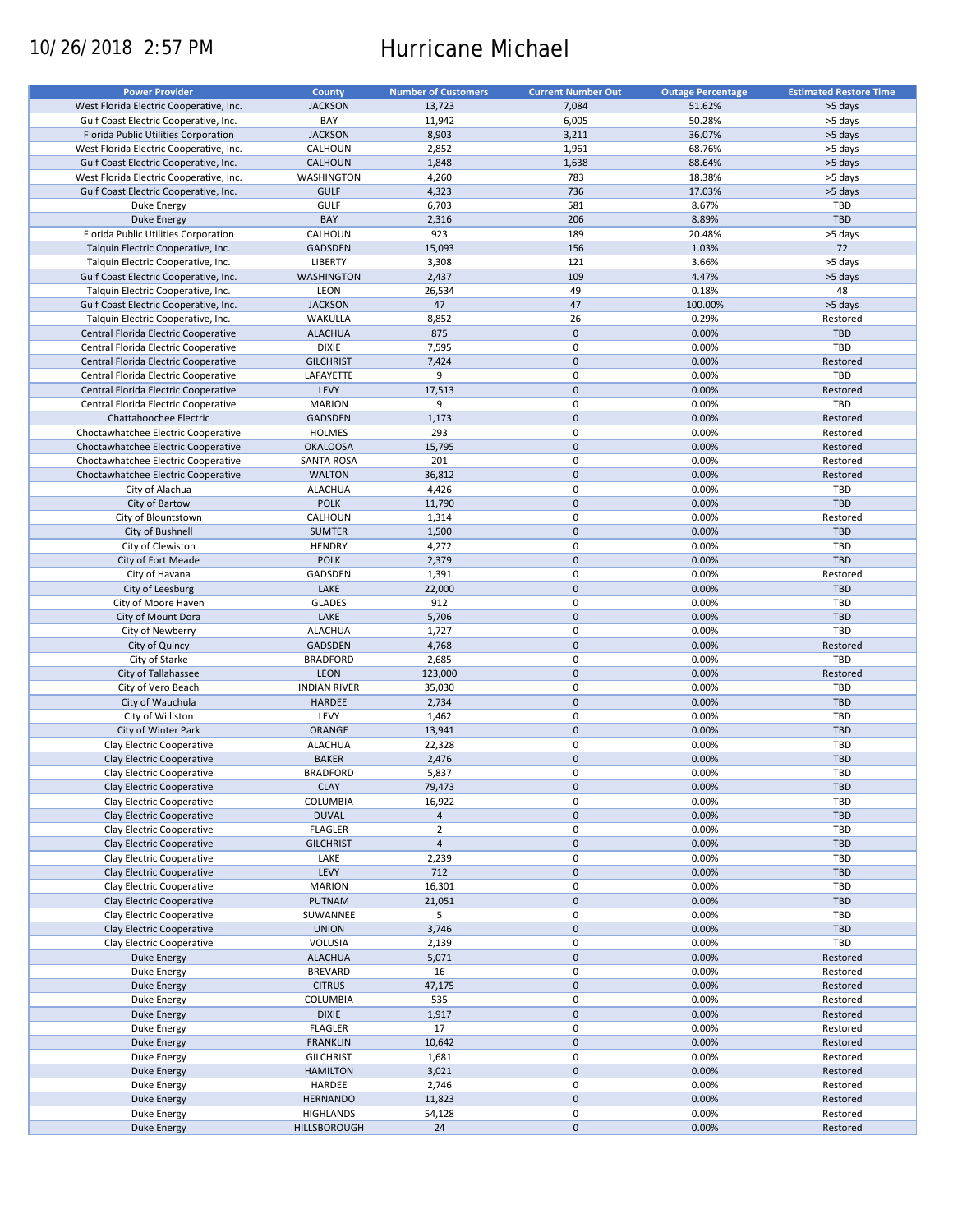# 10/26/2018 2:57 PM Hurricane Michael

| <b>Power Provider</b>                   | <b>County</b>       | <b>Number of Customers</b> | <b>Current Number Out</b> | <b>Outage Percentage</b> | <b>Estimated Restore Time</b> |
|-----------------------------------------|---------------------|----------------------------|---------------------------|--------------------------|-------------------------------|
|                                         |                     |                            |                           |                          |                               |
| West Florida Electric Cooperative, Inc. | <b>JACKSON</b>      | 13,723                     | 7,084                     | 51.62%                   | >5 days                       |
| Gulf Coast Electric Cooperative, Inc.   | BAY                 | 11,942                     | 6,005                     | 50.28%                   | >5 days                       |
| Florida Public Utilities Corporation    | <b>JACKSON</b>      | 8,903                      | 3,211                     | 36.07%                   | >5 days                       |
| West Florida Electric Cooperative, Inc. | CALHOUN             | 2,852                      | 1,961                     | 68.76%                   | >5 days                       |
| Gulf Coast Electric Cooperative, Inc.   | <b>CALHOUN</b>      | 1,848                      | 1,638                     | 88.64%                   | >5 days                       |
| West Florida Electric Cooperative, Inc. | <b>WASHINGTON</b>   | 4,260                      | 783                       | 18.38%                   | >5 days                       |
| Gulf Coast Electric Cooperative, Inc.   | <b>GULF</b>         | 4,323                      | 736                       | 17.03%                   | >5 days                       |
|                                         |                     |                            |                           |                          |                               |
| Duke Energy                             | <b>GULF</b>         | 6,703                      | 581                       | 8.67%                    | TBD                           |
| <b>Duke Energy</b>                      | BAY                 | 2,316                      | 206                       | 8.89%                    | <b>TBD</b>                    |
| Florida Public Utilities Corporation    | CALHOUN             | 923                        | 189                       | 20.48%                   | >5 days                       |
| Talquin Electric Cooperative, Inc.      | <b>GADSDEN</b>      | 15,093                     | 156                       | 1.03%                    | 72                            |
| Talquin Electric Cooperative, Inc.      | LIBERTY             | 3,308                      | 121                       | 3.66%                    | >5 days                       |
| Gulf Coast Electric Cooperative, Inc.   | <b>WASHINGTON</b>   | 2,437                      | 109                       | 4.47%                    | >5 days                       |
|                                         |                     |                            |                           |                          |                               |
| Talquin Electric Cooperative, Inc.      | LEON                | 26,534                     | 49                        | 0.18%                    | 48                            |
| Gulf Coast Electric Cooperative, Inc.   | <b>JACKSON</b>      | 47                         | 47                        | 100.00%                  | >5 days                       |
| Talquin Electric Cooperative, Inc.      | WAKULLA             | 8,852                      | 26                        | 0.29%                    | Restored                      |
| Central Florida Electric Cooperative    | <b>ALACHUA</b>      | 875                        | $\mathbf 0$               | 0.00%                    | <b>TBD</b>                    |
| Central Florida Electric Cooperative    | <b>DIXIE</b>        | 7,595                      | 0                         | 0.00%                    | TBD                           |
| Central Florida Electric Cooperative    | <b>GILCHRIST</b>    | 7,424                      | $\mathbf 0$               | 0.00%                    | Restored                      |
| Central Florida Electric Cooperative    | LAFAYETTE           | 9                          | $\pmb{0}$                 | 0.00%                    | TBD                           |
|                                         |                     |                            |                           |                          |                               |
| Central Florida Electric Cooperative    | LEVY                | 17,513                     | $\mathbf 0$               | 0.00%                    | Restored                      |
| Central Florida Electric Cooperative    | <b>MARION</b>       | 9                          | 0                         | 0.00%                    | TBD                           |
| Chattahoochee Electric                  | <b>GADSDEN</b>      | 1,173                      | $\mathbf 0$               | 0.00%                    | Restored                      |
| Choctawhatchee Electric Cooperative     | <b>HOLMES</b>       | 293                        | $\pmb{0}$                 | 0.00%                    | Restored                      |
| Choctawhatchee Electric Cooperative     | <b>OKALOOSA</b>     | 15,795                     | $\mathbf 0$               | 0.00%                    | Restored                      |
| Choctawhatchee Electric Cooperative     | <b>SANTA ROSA</b>   | 201                        | $\pmb{0}$                 | 0.00%                    | Restored                      |
|                                         |                     |                            |                           |                          |                               |
| Choctawhatchee Electric Cooperative     | <b>WALTON</b>       | 36,812                     | $\mathbf 0$               | 0.00%                    | Restored                      |
| City of Alachua                         | <b>ALACHUA</b>      | 4,426                      | $\pmb{0}$                 | 0.00%                    | TBD                           |
| City of Bartow                          | <b>POLK</b>         | 11,790                     | $\mathbf 0$               | 0.00%                    | <b>TBD</b>                    |
| City of Blountstown                     | CALHOUN             | 1,314                      | $\pmb{0}$                 | 0.00%                    | Restored                      |
| City of Bushnell                        | <b>SUMTER</b>       | 1,500                      | $\mathbf 0$               | 0.00%                    | <b>TBD</b>                    |
| City of Clewiston                       | <b>HENDRY</b>       | 4,272                      | $\pmb{0}$                 | 0.00%                    | TBD                           |
| City of Fort Meade                      | <b>POLK</b>         | 2,379                      | $\mathbf 0$               | 0.00%                    | <b>TBD</b>                    |
|                                         |                     |                            | $\pmb{0}$                 | 0.00%                    |                               |
| City of Havana                          | GADSDEN             | 1,391                      |                           |                          | Restored                      |
| City of Leesburg                        | LAKE                | 22,000                     | $\mathbf 0$               | 0.00%                    | <b>TBD</b>                    |
| City of Moore Haven                     | <b>GLADES</b>       | 912                        | $\pmb{0}$                 | 0.00%                    | TBD                           |
| City of Mount Dora                      | LAKE                | 5,706                      | $\mathbf 0$               | 0.00%                    | TBD                           |
| City of Newberry                        | <b>ALACHUA</b>      | 1,727                      | $\pmb{0}$                 | 0.00%                    | TBD                           |
| City of Quincy                          | <b>GADSDEN</b>      | 4,768                      | $\mathbf 0$               | 0.00%                    | Restored                      |
| City of Starke                          | <b>BRADFORD</b>     | 2,685                      | 0                         | 0.00%                    | TBD                           |
| City of Tallahassee                     | <b>LEON</b>         | 123,000                    | $\mathbf 0$               | 0.00%                    | Restored                      |
|                                         | <b>INDIAN RIVER</b> | 35,030                     | 0                         | 0.00%                    | TBD                           |
| City of Vero Beach                      |                     |                            |                           |                          |                               |
| City of Wauchula                        | HARDEE              | 2,734                      | $\pmb{0}$                 | 0.00%                    | <b>TBD</b>                    |
| City of Williston                       | LEVY                | 1,462                      | $\pmb{0}$                 | 0.00%                    | TBD                           |
| City of Winter Park                     | ORANGE              | 13,941                     | $\mathbf 0$               | 0.00%                    | <b>TBD</b>                    |
| Clay Electric Cooperative               | <b>ALACHUA</b>      | 22,328                     | $\pmb{0}$                 | 0.00%                    | TBD                           |
| Clay Electric Cooperative               | <b>BAKER</b>        | 2,476                      | $\pmb{0}$                 | 0.00%                    | <b>TBD</b>                    |
| Clay Electric Cooperative               | <b>BRADFORD</b>     | 5,837                      | $\mathbf 0$               | 0.00%                    | TBD                           |
|                                         |                     |                            |                           |                          |                               |
| Clay Electric Cooperative               | <b>CLAY</b>         | 79,473                     | $\pmb{0}$                 | 0.00%                    | TBD                           |
| Clay Electric Cooperative               | COLUMBIA            | 16,922                     | 0                         | 0.00%                    | TBD                           |
| Clay Electric Cooperative               | <b>DUVAL</b>        | $\overline{a}$             | $\mathbf 0$               | 0.00%                    | <b>TBD</b>                    |
| Clay Electric Cooperative               | <b>FLAGLER</b>      | $\overline{2}$             | 0                         | 0.00%                    | TBD                           |
| Clay Electric Cooperative               | <b>GILCHRIST</b>    | $\overline{4}$             | $\pmb{0}$                 | 0.00%                    | <b>TBD</b>                    |
| Clay Electric Cooperative               | LAKE                | 2,239                      | 0                         | 0.00%                    | TBD                           |
| Clay Electric Cooperative               | LEVY                | 712                        | $\pmb{0}$                 | 0.00%                    | <b>TBD</b>                    |
|                                         |                     |                            |                           |                          | TBD                           |
| Clay Electric Cooperative               | <b>MARION</b>       | 16,301                     | 0                         | 0.00%                    |                               |
| Clay Electric Cooperative               | PUTNAM              | 21,051                     | $\pmb{0}$                 | 0.00%                    | <b>TBD</b>                    |
| Clay Electric Cooperative               | SUWANNEE            | 5                          | 0                         | 0.00%                    | TBD                           |
| Clay Electric Cooperative               | <b>UNION</b>        | 3,746                      | $\pmb{0}$                 | 0.00%                    | TBD                           |
| Clay Electric Cooperative               | VOLUSIA             | 2,139                      | $\pmb{0}$                 | 0.00%                    | TBD                           |
| Duke Energy                             | <b>ALACHUA</b>      | 5,071                      | $\mathsf{O}\xspace$       | 0.00%                    | Restored                      |
| Duke Energy                             | BREVARD             | 16                         | 0                         | 0.00%                    | Restored                      |
|                                         |                     |                            |                           |                          |                               |
| Duke Energy                             | <b>CITRUS</b>       | 47,175                     | $\mathsf{O}\xspace$       | 0.00%                    | Restored                      |
| Duke Energy                             | <b>COLUMBIA</b>     | 535                        | 0                         | 0.00%                    | Restored                      |
| Duke Energy                             | <b>DIXIE</b>        | 1,917                      | $\pmb{0}$                 | 0.00%                    | Restored                      |
| Duke Energy                             | <b>FLAGLER</b>      | 17                         | 0                         | 0.00%                    | Restored                      |
| Duke Energy                             | <b>FRANKLIN</b>     | 10,642                     | $\pmb{0}$                 | 0.00%                    | Restored                      |
| Duke Energy                             | <b>GILCHRIST</b>    | 1,681                      | $\pmb{0}$                 | 0.00%                    | Restored                      |
| Duke Energy                             | <b>HAMILTON</b>     | 3,021                      | $\pmb{0}$                 | 0.00%                    | Restored                      |
| Duke Energy                             | HARDEE              | 2,746                      | $\pmb{0}$                 | 0.00%                    | Restored                      |
|                                         |                     |                            |                           |                          |                               |
| Duke Energy                             | <b>HERNANDO</b>     | 11,823                     | $\pmb{0}$                 | 0.00%                    | Restored                      |
| Duke Energy                             | <b>HIGHLANDS</b>    | 54,128                     | $\pmb{0}$                 | 0.00%                    | Restored                      |
| Duke Energy                             | HILLSBOROUGH        | 24                         | $\mathbf 0$               | 0.00%                    | Restored                      |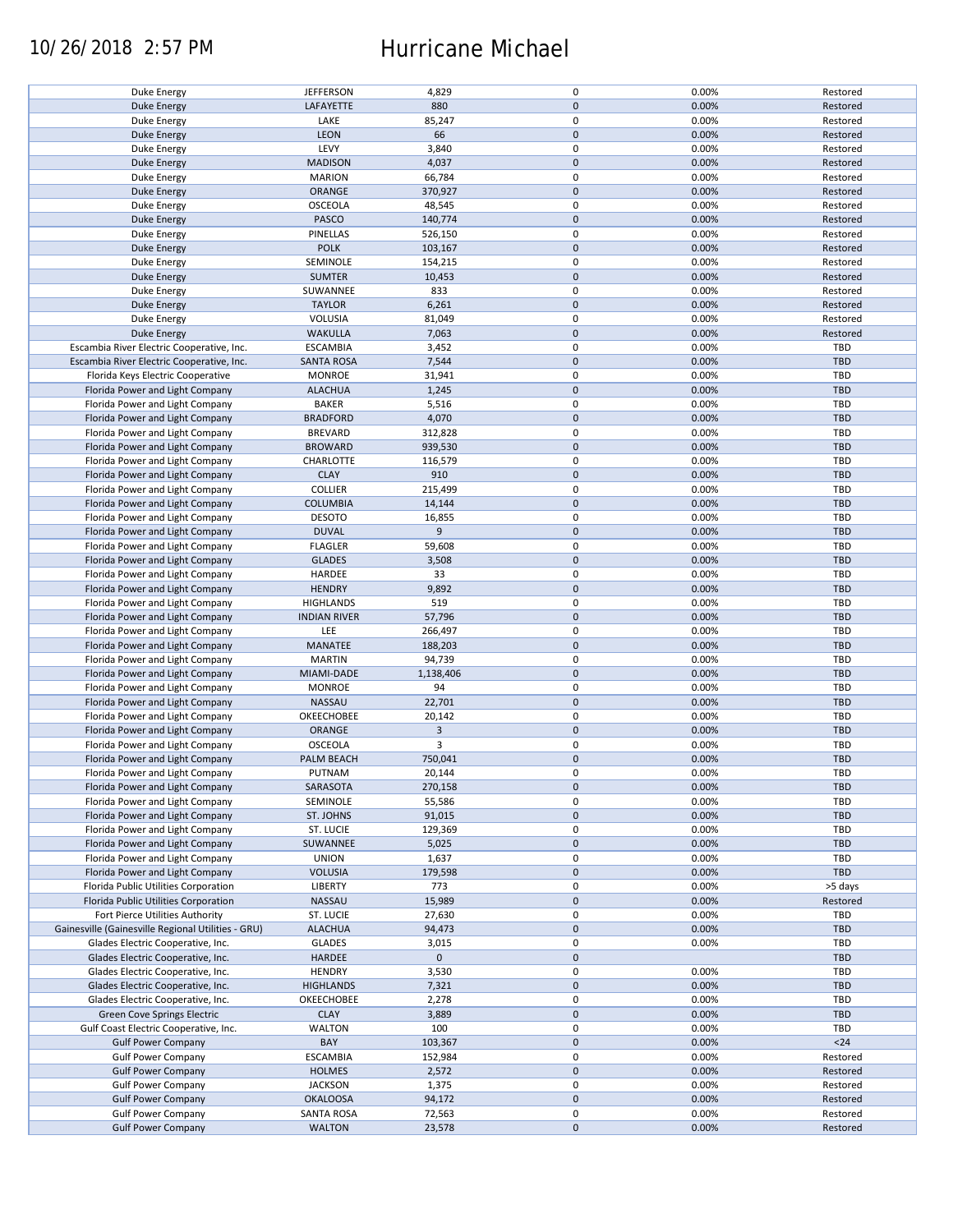### 10/26/2018 2:57 PM Hurricane Michael

| Duke Energy                                        | <b>JEFFERSON</b>    | 4,829          | $\pmb{0}$           | 0.00% | Restored   |
|----------------------------------------------------|---------------------|----------------|---------------------|-------|------------|
| <b>Duke Energy</b>                                 | LAFAYETTE           | 880            | $\mathbf 0$         | 0.00% | Restored   |
|                                                    |                     |                |                     |       |            |
| Duke Energy                                        | LAKE                | 85,247         | 0                   | 0.00% | Restored   |
| <b>Duke Energy</b>                                 | LEON                | 66             | $\mathbf 0$         | 0.00% | Restored   |
|                                                    |                     |                |                     |       |            |
| Duke Energy                                        | LEVY                | 3,840          | $\pmb{0}$           | 0.00% | Restored   |
| <b>Duke Energy</b>                                 | <b>MADISON</b>      | 4,037          | $\mathbf 0$         | 0.00% | Restored   |
| Duke Energy                                        | <b>MARION</b>       | 66,784         | 0                   | 0.00% | Restored   |
|                                                    |                     |                |                     |       |            |
| <b>Duke Energy</b>                                 | ORANGE              | 370,927        | $\mathbf 0$         | 0.00% | Restored   |
| Duke Energy                                        | <b>OSCEOLA</b>      | 48,545         | 0                   | 0.00% | Restored   |
| <b>Duke Energy</b>                                 | PASCO               | 140,774        | $\mathbf 0$         | 0.00% | Restored   |
|                                                    |                     |                |                     |       |            |
| Duke Energy                                        | PINELLAS            | 526,150        | 0                   | 0.00% | Restored   |
| <b>Duke Energy</b>                                 | <b>POLK</b>         | 103,167        | $\mathbf 0$         | 0.00% | Restored   |
|                                                    | SEMINOLE            |                | $\pmb{0}$           | 0.00% |            |
| Duke Energy                                        |                     | 154,215        |                     |       | Restored   |
| <b>Duke Energy</b>                                 | <b>SUMTER</b>       | 10,453         | $\mathbf 0$         | 0.00% | Restored   |
| Duke Energy                                        | SUWANNEE            | 833            | 0                   | 0.00% | Restored   |
|                                                    |                     |                |                     |       |            |
| <b>Duke Energy</b>                                 | <b>TAYLOR</b>       | 6,261          | $\pmb{0}$           | 0.00% | Restored   |
| Duke Energy                                        | VOLUSIA             | 81,049         | $\pmb{0}$           | 0.00% | Restored   |
|                                                    | <b>WAKULLA</b>      |                | $\pmb{0}$           |       |            |
| <b>Duke Energy</b>                                 |                     | 7,063          |                     | 0.00% | Restored   |
| Escambia River Electric Cooperative, Inc.          | <b>ESCAMBIA</b>     | 3,452          | $\pmb{0}$           | 0.00% | <b>TBD</b> |
| Escambia River Electric Cooperative, Inc.          | <b>SANTA ROSA</b>   | 7,544          | $\pmb{0}$           | 0.00% | <b>TBD</b> |
|                                                    |                     |                |                     |       |            |
| Florida Keys Electric Cooperative                  | <b>MONROE</b>       | 31,941         | $\pmb{0}$           | 0.00% | <b>TBD</b> |
| Florida Power and Light Company                    | <b>ALACHUA</b>      | 1,245          | $\pmb{0}$           | 0.00% | <b>TBD</b> |
| Florida Power and Light Company                    | <b>BAKER</b>        | 5,516          | 0                   | 0.00% | <b>TBD</b> |
|                                                    |                     |                |                     |       |            |
| Florida Power and Light Company                    | <b>BRADFORD</b>     | 4,070          | $\pmb{0}$           | 0.00% | <b>TBD</b> |
| Florida Power and Light Company                    | <b>BREVARD</b>      | 312,828        | $\pmb{0}$           | 0.00% | TBD        |
|                                                    |                     |                |                     |       |            |
| Florida Power and Light Company                    | <b>BROWARD</b>      | 939,530        | $\pmb{0}$           | 0.00% | <b>TBD</b> |
| Florida Power and Light Company                    | CHARLOTTE           | 116,579        | 0                   | 0.00% | TBD        |
|                                                    |                     |                |                     |       |            |
| Florida Power and Light Company                    | <b>CLAY</b>         | 910            | $\mathbf 0$         | 0.00% | <b>TBD</b> |
| Florida Power and Light Company                    | <b>COLLIER</b>      | 215,499        | $\pmb{0}$           | 0.00% | <b>TBD</b> |
| Florida Power and Light Company                    | <b>COLUMBIA</b>     | 14,144         | $\mathbf 0$         | 0.00% | <b>TBD</b> |
|                                                    |                     |                |                     |       |            |
| Florida Power and Light Company                    | <b>DESOTO</b>       | 16,855         | 0                   | 0.00% | <b>TBD</b> |
| Florida Power and Light Company                    | <b>DUVAL</b>        | 9              | $\mathbf 0$         | 0.00% | <b>TBD</b> |
|                                                    |                     |                |                     |       |            |
| Florida Power and Light Company                    | <b>FLAGLER</b>      | 59,608         | $\pmb{0}$           | 0.00% | TBD        |
| Florida Power and Light Company                    | <b>GLADES</b>       | 3,508          | $\pmb{0}$           | 0.00% | <b>TBD</b> |
| Florida Power and Light Company                    | HARDEE              | 33             | 0                   | 0.00% | TBD        |
|                                                    |                     |                |                     |       |            |
| Florida Power and Light Company                    | <b>HENDRY</b>       | 9,892          | $\mathbf 0$         | 0.00% | <b>TBD</b> |
| Florida Power and Light Company                    | <b>HIGHLANDS</b>    | 519            | $\pmb{0}$           | 0.00% | TBD        |
| Florida Power and Light Company                    | <b>INDIAN RIVER</b> | 57,796         | $\mathbf 0$         | 0.00% | <b>TBD</b> |
|                                                    |                     |                |                     |       |            |
| Florida Power and Light Company                    | LEE                 | 266,497        | $\pmb{0}$           | 0.00% | TBD        |
| Florida Power and Light Company                    | MANATEE             | 188,203        | $\mathbf 0$         | 0.00% | <b>TBD</b> |
|                                                    |                     |                |                     |       |            |
| Florida Power and Light Company                    | <b>MARTIN</b>       | 94,739         | $\pmb{0}$           | 0.00% | TBD        |
| Florida Power and Light Company                    | MIAMI-DADE          | 1,138,406      | $\mathbf 0$         | 0.00% | <b>TBD</b> |
|                                                    |                     |                | $\pmb{0}$           |       | <b>TBD</b> |
| Florida Power and Light Company                    | <b>MONROE</b>       | 94             |                     | 0.00% |            |
| Florida Power and Light Company                    | NASSAU              | 22,701         | $\mathbf 0$         | 0.00% | <b>TBD</b> |
| Florida Power and Light Company                    | OKEECHOBEE          | 20,142         | 0                   | 0.00% | <b>TBD</b> |
|                                                    |                     |                |                     |       |            |
| Florida Power and Light Company                    | ORANGE              | $\overline{3}$ | $\mathbf 0$         | 0.00% | <b>TBD</b> |
| Florida Power and Light Company                    | <b>OSCEOLA</b>      | 3              | $\pmb{0}$           | 0.00% | <b>TBD</b> |
| Florida Power and Light Company                    |                     | 750,041        | $\mathbf 0$         | 0.00% | <b>TBD</b> |
|                                                    | PALM BEACH          |                |                     |       |            |
| Florida Power and Light Company                    | PUTNAM              | 20,144         | $\mathbf 0$         | 0.00% | TBD        |
| Florida Power and Light Company                    | SARASOTA            | 270,158        | $\mathbf 0$         | 0.00% | <b>TBD</b> |
|                                                    |                     |                |                     |       |            |
| Florida Power and Light Company                    | SEMINOLE            | 55,586         | 0                   | 0.00% | TBD        |
| Florida Power and Light Company                    | ST. JOHNS           | 91,015         | $\mathbf 0$         | 0.00% | <b>TBD</b> |
| Florida Power and Light Company                    | ST. LUCIE           | 129,369        | 0                   | 0.00% | TBD        |
|                                                    |                     |                |                     |       |            |
| Florida Power and Light Company                    | SUWANNEE            | 5,025          | $\mathbf 0$         | 0.00% | <b>TBD</b> |
| Florida Power and Light Company                    | <b>UNION</b>        | 1,637          | 0                   | 0.00% | TBD        |
|                                                    | <b>VOLUSIA</b>      |                | $\mathbf 0$         |       |            |
| Florida Power and Light Company                    |                     | 179,598        |                     | 0.00% | TBD        |
| Florida Public Utilities Corporation               | <b>LIBERTY</b>      | 773            | 0                   | 0.00% | >5 days    |
| Florida Public Utilities Corporation               | NASSAU              | 15,989         | $\pmb{0}$           | 0.00% | Restored   |
|                                                    |                     |                |                     |       |            |
| Fort Pierce Utilities Authority                    | ST. LUCIE           | 27,630         | 0                   | 0.00% | TBD        |
| Gainesville (Gainesville Regional Utilities - GRU) | <b>ALACHUA</b>      | 94,473         | $\pmb{0}$           | 0.00% | <b>TBD</b> |
| Glades Electric Cooperative, Inc.                  | <b>GLADES</b>       | 3,015          | $\pmb{0}$           | 0.00% | TBD        |
|                                                    |                     |                |                     |       |            |
| Glades Electric Cooperative, Inc.                  | HARDEE              | $\mathbf 0$    | $\mathbf 0$         |       | <b>TBD</b> |
| Glades Electric Cooperative, Inc.                  | <b>HENDRY</b>       | 3,530          | $\pmb{0}$           | 0.00% | TBD        |
|                                                    |                     |                | $\pmb{0}$           | 0.00% | <b>TBD</b> |
| Glades Electric Cooperative, Inc.                  | <b>HIGHLANDS</b>    | 7,321          |                     |       |            |
| Glades Electric Cooperative, Inc.                  | OKEECHOBEE          | 2,278          | $\pmb{0}$           | 0.00% | TBD        |
| Green Cove Springs Electric                        | <b>CLAY</b>         | 3,889          | $\pmb{0}$           | 0.00% | <b>TBD</b> |
|                                                    |                     |                |                     |       |            |
| Gulf Coast Electric Cooperative, Inc.              | <b>WALTON</b>       | 100            | $\pmb{0}$           | 0.00% | <b>TBD</b> |
| <b>Gulf Power Company</b>                          | BAY                 | 103,367        | $\pmb{0}$           | 0.00% | $<24$      |
| <b>Gulf Power Company</b>                          | <b>ESCAMBIA</b>     | 152,984        | $\pmb{0}$           | 0.00% | Restored   |
|                                                    |                     |                |                     |       |            |
| <b>Gulf Power Company</b>                          | <b>HOLMES</b>       | 2,572          | $\pmb{0}$           | 0.00% | Restored   |
| <b>Gulf Power Company</b>                          | <b>JACKSON</b>      | 1,375          | $\pmb{0}$           | 0.00% | Restored   |
|                                                    |                     |                |                     |       |            |
| <b>Gulf Power Company</b>                          | <b>OKALOOSA</b>     | 94,172         | $\pmb{0}$           | 0.00% | Restored   |
| <b>Gulf Power Company</b>                          | <b>SANTA ROSA</b>   | 72,563         | $\pmb{0}$           | 0.00% | Restored   |
| <b>Gulf Power Company</b>                          | <b>WALTON</b>       | 23,578         | $\mathsf{O}\xspace$ | 0.00% | Restored   |
|                                                    |                     |                |                     |       |            |